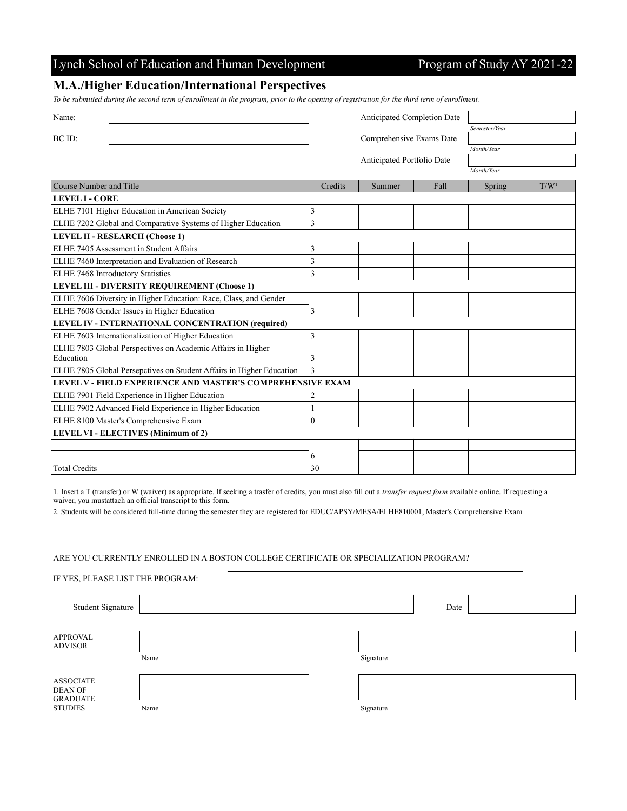## Lynch School of Education and Human Development Program of Study AY 2021-22

### **M.A./Higher Education/International Perspectives**

*To be submitted during the second term of enrollment in the program, prior to the opening of registration for the third term of enrollment.*

| Name:                                                                | Anticipated Completion Date |        |      |               |                  |  |  |  |
|----------------------------------------------------------------------|-----------------------------|--------|------|---------------|------------------|--|--|--|
|                                                                      |                             |        |      | Semester/Year |                  |  |  |  |
| BC ID:                                                               | Comprehensive Exams Date    |        |      |               |                  |  |  |  |
|                                                                      |                             |        |      | Month/Year    |                  |  |  |  |
|                                                                      | Anticipated Portfolio Date  |        |      |               |                  |  |  |  |
|                                                                      |                             |        |      | Month/Year    |                  |  |  |  |
| Course Number and Title                                              | Credits                     | Summer | Fall | Spring        | T/W <sup>1</sup> |  |  |  |
| LEVEL I - CORE                                                       |                             |        |      |               |                  |  |  |  |
| ELHE 7101 Higher Education in American Society                       | 3                           |        |      |               |                  |  |  |  |
| ELHE 7202 Global and Comparative Systems of Higher Education         | 3                           |        |      |               |                  |  |  |  |
| <b>LEVEL II - RESEARCH (Choose 1)</b>                                |                             |        |      |               |                  |  |  |  |
| ELHE 7405 Assessment in Student Affairs                              | 3                           |        |      |               |                  |  |  |  |
| ELHE 7460 Interpretation and Evaluation of Research                  | 3                           |        |      |               |                  |  |  |  |
| ELHE 7468 Introductory Statistics                                    | 3                           |        |      |               |                  |  |  |  |
| LEVEL III - DIVERSITY REQUIREMENT (Choose 1)                         |                             |        |      |               |                  |  |  |  |
| ELHE 7606 Diversity in Higher Education: Race, Class, and Gender     |                             |        |      |               |                  |  |  |  |
| ELHE 7608 Gender Issues in Higher Education                          | 3                           |        |      |               |                  |  |  |  |
| LEVEL IV - INTERNATIONAL CONCENTRATION (required)                    |                             |        |      |               |                  |  |  |  |
| ELHE 7603 Internationalization of Higher Education                   | 3                           |        |      |               |                  |  |  |  |
| ELHE 7803 Global Perspectives on Academic Affairs in Higher          |                             |        |      |               |                  |  |  |  |
| Education                                                            | 3                           |        |      |               |                  |  |  |  |
| ELHE 7805 Global Persepctives on Student Affairs in Higher Education | 3                           |        |      |               |                  |  |  |  |
| LEVEL V - FIELD EXPERIENCE AND MASTER'S COMPREHENSIVE EXAM           |                             |        |      |               |                  |  |  |  |
| ELHE 7901 Field Experience in Higher Education                       |                             |        |      |               |                  |  |  |  |
| ELHE 7902 Advanced Field Experience in Higher Education              |                             |        |      |               |                  |  |  |  |
| ELHE 8100 Master's Comprehensive Exam                                | 0                           |        |      |               |                  |  |  |  |
| <b>LEVEL VI - ELECTIVES (Minimum of 2)</b>                           |                             |        |      |               |                  |  |  |  |
|                                                                      |                             |        |      |               |                  |  |  |  |
|                                                                      | 6                           |        |      |               |                  |  |  |  |
| <b>Total Credits</b>                                                 | 30                          |        |      |               |                  |  |  |  |

1. Insert a T (transfer) or W (waiver) as appropriate. If seeking a trasfer of credits, you must also fill out a *transfer request form* available online. If requesting a waiver, you mustattach an official transcript to this form.

2. Students will be considered full-time during the semester they are registered for EDUC/APSY/MESA/ELHE810001, Master's Comprehensive Exam

#### ARE YOU CURRENTLY ENROLLED IN A BOSTON COLLEGE CERTIFICATE OR SPECIALIZATION PROGRAM?

IF YES, PLEASE LIST THE PROGRAM:

| Student Signature                                                       |      |           | Date |  |
|-------------------------------------------------------------------------|------|-----------|------|--|
|                                                                         |      |           |      |  |
| <b>APPROVAL</b><br><b>ADVISOR</b>                                       |      |           |      |  |
|                                                                         | Name | Signature |      |  |
|                                                                         |      |           |      |  |
| <b>ASSOCIATE</b><br><b>DEAN OF</b><br><b>GRADUATE</b><br><b>STUDIES</b> |      |           |      |  |
|                                                                         |      |           |      |  |
|                                                                         | Name | Signature |      |  |